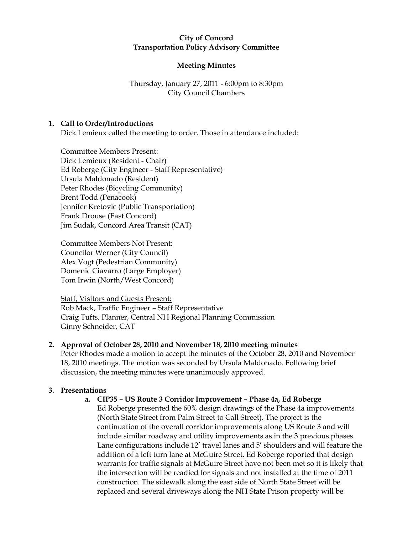### **City of Concord Transportation Policy Advisory Committee**

# **Meeting Minutes**

## Thursday, January 27, 2011 - 6:00pm to 8:30pm City Council Chambers

## **1. Call to Order/Introductions**

Dick Lemieux called the meeting to order. Those in attendance included:

Committee Members Present: Dick Lemieux (Resident - Chair) Ed Roberge (City Engineer - Staff Representative) Ursula Maldonado (Resident) Peter Rhodes (Bicycling Community) Brent Todd (Penacook) Jennifer Kretovic (Public Transportation) Frank Drouse (East Concord) Jim Sudak, Concord Area Transit (CAT)

Committee Members Not Present: Councilor Werner (City Council) Alex Vogt (Pedestrian Community) Domenic Ciavarro (Large Employer) Tom Irwin (North/West Concord)

Staff, Visitors and Guests Present: Rob Mack, Traffic Engineer – Staff Representative Craig Tufts, Planner, Central NH Regional Planning Commission Ginny Schneider, CAT

# **2. Approval of October 28, 2010 and November 18, 2010 meeting minutes**

Peter Rhodes made a motion to accept the minutes of the October 28, 2010 and November 18, 2010 meetings. The motion was seconded by Ursula Maldonado. Following brief discussion, the meeting minutes were unanimously approved.

# **3. Presentations**

### **a. CIP35 – US Route 3 Corridor Improvement – Phase 4a, Ed Roberge**

Ed Roberge presented the 60% design drawings of the Phase 4a improvements (North State Street from Palm Street to Call Street). The project is the continuation of the overall corridor improvements along US Route 3 and will include similar roadway and utility improvements as in the 3 previous phases. Lane configurations include 12' travel lanes and 5' shoulders and will feature the addition of a left turn lane at McGuire Street. Ed Roberge reported that design warrants for traffic signals at McGuire Street have not been met so it is likely that the intersection will be readied for signals and not installed at the time of 2011 construction. The sidewalk along the east side of North State Street will be replaced and several driveways along the NH State Prison property will be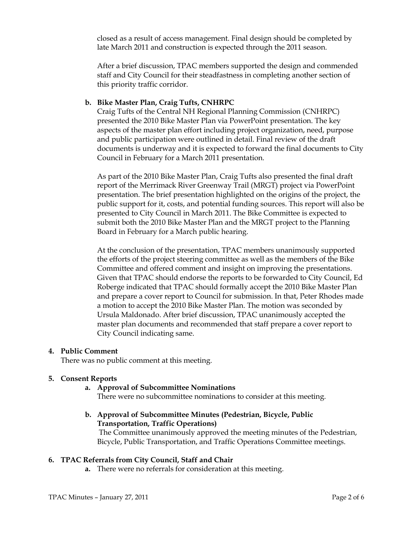closed as a result of access management. Final design should be completed by late March 2011 and construction is expected through the 2011 season.

After a brief discussion, TPAC members supported the design and commended staff and City Council for their steadfastness in completing another section of this priority traffic corridor.

## **b. Bike Master Plan, Craig Tufts, CNHRPC**

Craig Tufts of the Central NH Regional Planning Commission (CNHRPC) presented the 2010 Bike Master Plan via PowerPoint presentation. The key aspects of the master plan effort including project organization, need, purpose and public participation were outlined in detail. Final review of the draft documents is underway and it is expected to forward the final documents to City Council in February for a March 2011 presentation.

As part of the 2010 Bike Master Plan, Craig Tufts also presented the final draft report of the Merrimack River Greenway Trail (MRGT) project via PowerPoint presentation. The brief presentation highlighted on the origins of the project, the public support for it, costs, and potential funding sources. This report will also be presented to City Council in March 2011. The Bike Committee is expected to submit both the 2010 Bike Master Plan and the MRGT project to the Planning Board in February for a March public hearing.

At the conclusion of the presentation, TPAC members unanimously supported the efforts of the project steering committee as well as the members of the Bike Committee and offered comment and insight on improving the presentations. Given that TPAC should endorse the reports to be forwarded to City Council, Ed Roberge indicated that TPAC should formally accept the 2010 Bike Master Plan and prepare a cover report to Council for submission. In that, Peter Rhodes made a motion to accept the 2010 Bike Master Plan. The motion was seconded by Ursula Maldonado. After brief discussion, TPAC unanimously accepted the master plan documents and recommended that staff prepare a cover report to City Council indicating same.

### **4. Public Comment**

There was no public comment at this meeting.

### **5. Consent Reports**

**a. Approval of Subcommittee Nominations**

There were no subcommittee nominations to consider at this meeting.

# **b. Approval of Subcommittee Minutes (Pedestrian, Bicycle, Public Transportation, Traffic Operations)**

The Committee unanimously approved the meeting minutes of the Pedestrian, Bicycle, Public Transportation, and Traffic Operations Committee meetings.

### **6. TPAC Referrals from City Council, Staff and Chair**

**a.** There were no referrals for consideration at this meeting.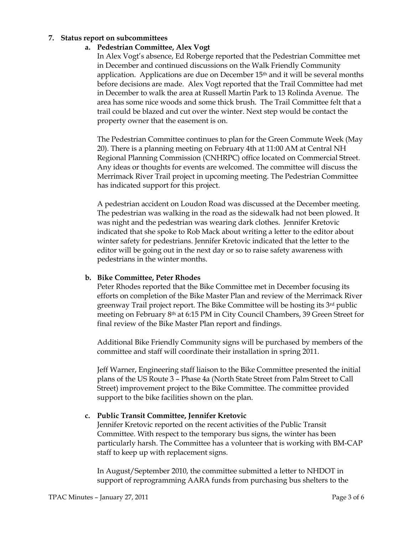#### **7. Status report on subcommittees**

#### **a. Pedestrian Committee, Alex Vogt**

In Alex Vogt's absence, Ed Roberge reported that the Pedestrian Committee met in December and continued discussions on the Walk Friendly Community application. Applications are due on December  $15<sup>th</sup>$  and it will be several months before decisions are made. Alex Vogt reported that the Trail Committee had met in December to walk the area at Russell Martin Park to 13 Rolinda Avenue. The area has some nice woods and some thick brush. The Trail Committee felt that a trail could be blazed and cut over the winter. Next step would be contact the property owner that the easement is on.

The Pedestrian Committee continues to plan for the Green Commute Week (May 20). There is a planning meeting on February 4th at 11:00 AM at Central NH Regional Planning Commission (CNHRPC) office located on Commercial Street. Any ideas or thoughts for events are welcomed. The committee will discuss the Merrimack River Trail project in upcoming meeting. The Pedestrian Committee has indicated support for this project.

A pedestrian accident on Loudon Road was discussed at the December meeting. The pedestrian was walking in the road as the sidewalk had not been plowed. It was night and the pedestrian was wearing dark clothes. Jennifer Kretovic indicated that she spoke to Rob Mack about writing a letter to the editor about winter safety for pedestrians. Jennifer Kretovic indicated that the letter to the editor will be going out in the next day or so to raise safety awareness with pedestrians in the winter months.

#### **b. Bike Committee, Peter Rhodes**

Peter Rhodes reported that the Bike Committee met in December focusing its efforts on completion of the Bike Master Plan and review of the Merrimack River greenway Trail project report. The Bike Committee will be hosting its 3rd public meeting on February 8th at 6:15 PM in City Council Chambers, 39 Green Street for final review of the Bike Master Plan report and findings.

Additional Bike Friendly Community signs will be purchased by members of the committee and staff will coordinate their installation in spring 2011.

Jeff Warner, Engineering staff liaison to the Bike Committee presented the initial plans of the US Route 3 – Phase 4a (North State Street from Palm Street to Call Street) improvement project to the Bike Committee. The committee provided support to the bike facilities shown on the plan.

#### **c. Public Transit Committee, Jennifer Kretovic**

Jennifer Kretovic reported on the recent activities of the Public Transit Committee. With respect to the temporary bus signs, the winter has been particularly harsh. The Committee has a volunteer that is working with BM-CAP staff to keep up with replacement signs.

In August/September 2010, the committee submitted a letter to NHDOT in support of reprogramming AARA funds from purchasing bus shelters to the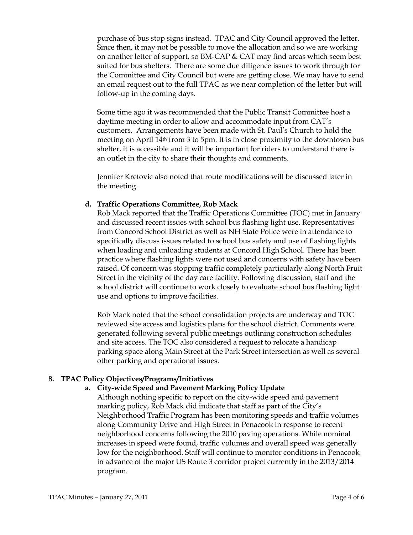purchase of bus stop signs instead. TPAC and City Council approved the letter. Since then, it may not be possible to move the allocation and so we are working on another letter of support, so BM-CAP & CAT may find areas which seem best suited for bus shelters. There are some due diligence issues to work through for the Committee and City Council but were are getting close. We may have to send an email request out to the full TPAC as we near completion of the letter but will follow-up in the coming days.

Some time ago it was recommended that the Public Transit Committee host a daytime meeting in order to allow and accommodate input from CAT's customers. Arrangements have been made with St. Paul's Church to hold the meeting on April 14th from 3 to 5pm. It is in close proximity to the downtown bus shelter, it is accessible and it will be important for riders to understand there is an outlet in the city to share their thoughts and comments.

Jennifer Kretovic also noted that route modifications will be discussed later in the meeting.

### **d. Traffic Operations Committee, Rob Mack**

Rob Mack reported that the Traffic Operations Committee (TOC) met in January and discussed recent issues with school bus flashing light use. Representatives from Concord School District as well as NH State Police were in attendance to specifically discuss issues related to school bus safety and use of flashing lights when loading and unloading students at Concord High School. There has been practice where flashing lights were not used and concerns with safety have been raised. Of concern was stopping traffic completely particularly along North Fruit Street in the vicinity of the day care facility. Following discussion, staff and the school district will continue to work closely to evaluate school bus flashing light use and options to improve facilities.

Rob Mack noted that the school consolidation projects are underway and TOC reviewed site access and logistics plans for the school district. Comments were generated following several public meetings outlining construction schedules and site access. The TOC also considered a request to relocate a handicap parking space along Main Street at the Park Street intersection as well as several other parking and operational issues.

### **8. TPAC Policy Objectives/Programs/Initiatives**

### **a. City-wide Speed and Pavement Marking Policy Update**

Although nothing specific to report on the city-wide speed and pavement marking policy, Rob Mack did indicate that staff as part of the City's Neighborhood Traffic Program has been monitoring speeds and traffic volumes along Community Drive and High Street in Penacook in response to recent neighborhood concerns following the 2010 paving operations. While nominal increases in speed were found, traffic volumes and overall speed was generally low for the neighborhood. Staff will continue to monitor conditions in Penacook in advance of the major US Route 3 corridor project currently in the 2013/2014 program.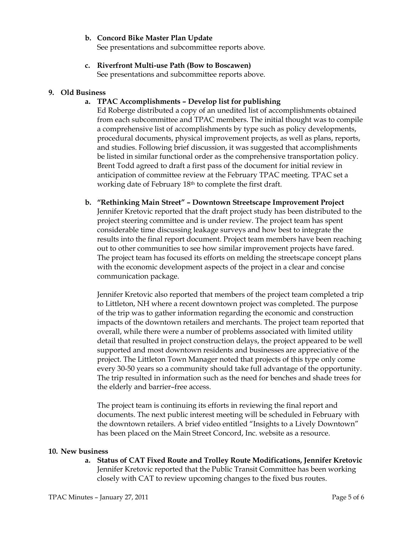#### **b. Concord Bike Master Plan Update**

See presentations and subcommittee reports above.

# **c. Riverfront Multi-use Path (Bow to Boscawen)**

See presentations and subcommittee reports above.

#### **9. Old Business**

### **a. TPAC Accomplishments – Develop list for publishing**

Ed Roberge distributed a copy of an unedited list of accomplishments obtained from each subcommittee and TPAC members. The initial thought was to compile a comprehensive list of accomplishments by type such as policy developments, procedural documents, physical improvement projects, as well as plans, reports, and studies. Following brief discussion, it was suggested that accomplishments be listed in similar functional order as the comprehensive transportation policy. Brent Todd agreed to draft a first pass of the document for initial review in anticipation of committee review at the February TPAC meeting. TPAC set a working date of February 18th to complete the first draft.

## **b. "Rethinking Main Street" – Downtown Streetscape Improvement Project** Jennifer Kretovic reported that the draft project study has been distributed to the project steering committee and is under review. The project team has spent considerable time discussing leakage surveys and how best to integrate the results into the final report document. Project team members have been reaching out to other communities to see how similar improvement projects have fared. The project team has focused its efforts on melding the streetscape concept plans with the economic development aspects of the project in a clear and concise communication package.

Jennifer Kretovic also reported that members of the project team completed a trip to Littleton, NH where a recent downtown project was completed. The purpose of the trip was to gather information regarding the economic and construction impacts of the downtown retailers and merchants. The project team reported that overall, while there were a number of problems associated with limited utility detail that resulted in project construction delays, the project appeared to be well supported and most downtown residents and businesses are appreciative of the project. The Littleton Town Manager noted that projects of this type only come every 30-50 years so a community should take full advantage of the opportunity. The trip resulted in information such as the need for benches and shade trees for the elderly and barrier–free access.

The project team is continuing its efforts in reviewing the final report and documents. The next public interest meeting will be scheduled in February with the downtown retailers. A brief video entitled "Insights to a Lively Downtown" has been placed on the Main Street Concord, Inc. website as a resource.

#### **10. New business**

**a. Status of CAT Fixed Route and Trolley Route Modifications, Jennifer Kretovic** Jennifer Kretovic reported that the Public Transit Committee has been working closely with CAT to review upcoming changes to the fixed bus routes.